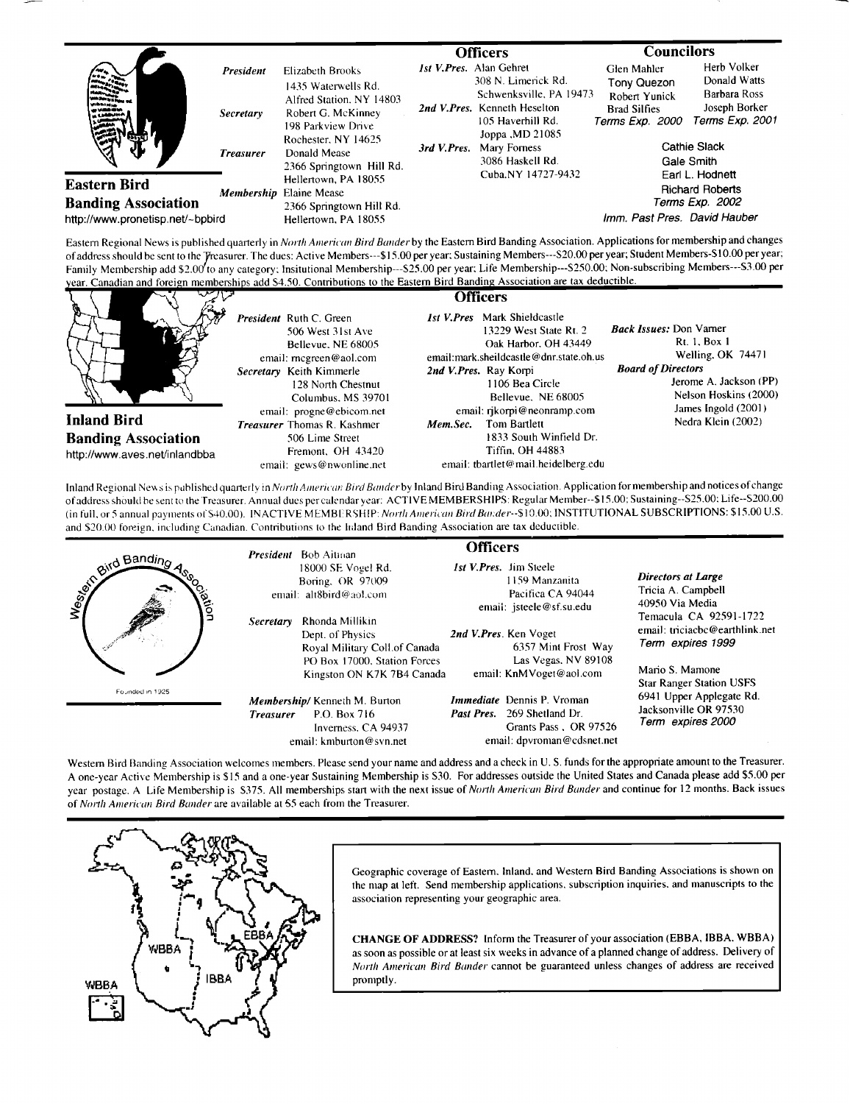|                                                                                       |                  |                                                                                                                                                                                    |             | <b>Officers</b>                                                                                                                                             | <b>Councilors</b>                                                                                                          |                                                  |
|---------------------------------------------------------------------------------------|------------------|------------------------------------------------------------------------------------------------------------------------------------------------------------------------------------|-------------|-------------------------------------------------------------------------------------------------------------------------------------------------------------|----------------------------------------------------------------------------------------------------------------------------|--------------------------------------------------|
| and the second                                                                        | <b>President</b> | Elizabeth Brooks<br>1435 Waterwells Rd.<br>Alfred Station, NY 14803<br>Robert G. McKinney<br>198 Parkview Drive<br>Rochester, NY 14625<br>Donald Mease<br>2366 Springtown Hill Rd. |             | <i>Ist V.Pres.</i> Alan Gehret<br>308 N. Limerick Rd.                                                                                                       | <b>Glen Mahler</b><br>Tony Quezon                                                                                          | Herb Volker<br>Donald Watts                      |
|                                                                                       | <b>Secretary</b> |                                                                                                                                                                                    | 3rd V.Pres. | Schwenksville, PA 19473<br>2nd V.Pres. Kenneth Heselton<br>105 Haverhill Rd.<br>Joppa , MD 21085<br>Mary Forness<br>3086 Haskell Rd.<br>Cuba, NY 14727-9432 | <b>Robert Yunick</b><br><b>Brad Silfies</b><br>Terms Exp. 2000                                                             | Barbara Ross<br>Joseph Borker<br>Terms Exp. 2001 |
|                                                                                       | <b>Treasurer</b> |                                                                                                                                                                                    |             |                                                                                                                                                             | Cathie Slack<br>Gale Smith<br>Earl L. Hodnett<br><b>Richard Roberts</b><br>Terms Exp. 2002<br>Imm. Past Pres. David Hauber |                                                  |
| <b>Eastern Bird</b><br><b>Banding Association</b><br>http://www.pronetisp.net/~bpbird | Membership       | Hellertown, PA 18055<br><b>Elaine Mease</b><br>2366 Springtown Hill Rd.<br>Hellertown, PA 18055                                                                                    |             |                                                                                                                                                             |                                                                                                                            |                                                  |

Eastern Regional News is published quarterly in *North American Bird Bander* by the Eastern Bird Banding Association. Applications for membership and changes of address should be sent to the Treasurer. The dues: Active Mem of address should be sent to the Yreasurer. The dues: Active Members---\$15.00 per year: Sustaining Members---S20.00 per year; Suddent Members-510.00 per year,<br>Family Membership add \$2.00 to any category: Insitutional Membe year. Canadian and foreign memberships add \$4.50. Contributions to the Eastern Bird Banding Association are tax deductible.



Inland Regional News is published quarterly in North American: Bird Bander by Inland Bird Banding Association. Application for membership and notices of change **of addresshould hc sent re the Treasurer. Annual dues per calendar year: ACTIVE MEMBERSHIPS: Regular Mcmber--\$15.00: Sustaining--S25.00:Life--S200.00**  (in full, or 5 annual payments of S40.00). INACTIVE MEMBERSHIP: North American Bird Bander--\$10.00; INSTITUTIONAL SUBSCRIPTIONS: \$15.00 U.S. and \$20.00 foreign, including Canadian. Contributions to the hdand Bird Banding Association are tax deductible.

| wid Banding<br>avon | <b>President</b> Bob Aitman<br>Secretary | 18000 SE Vogel Rd.<br>Boring, OR 97009<br>email: alt8bird@aol.com<br>Rhonda Millikin<br>Dept. of Physics<br>Royal Military Coll.of Canada<br>PO Box 17000, Station Forces<br>Kingston ON K7K 7B4 Canada | <b>Officers</b><br>2nd V.Pres. Ken Voget | <i>Ist V.Pres.</i> Jim Steele<br>1159 Manzanita<br>Pacifica CA 94044<br>email: jsteele@sf.su.edu<br>6357 Mint Frost Way<br>Las Vegas, NV 89108<br>email: KnMVoget@aol.com | <b>Directors at Large</b><br>Tricia A. Campbell<br>40950 Via Media<br>Temacula CA 92591-1722<br>email: triciacbc@earthlink.net<br>Term expires 1999<br>Mario S. Mamone<br><b>Star Ranger Station USFS</b> |
|---------------------|------------------------------------------|---------------------------------------------------------------------------------------------------------------------------------------------------------------------------------------------------------|------------------------------------------|---------------------------------------------------------------------------------------------------------------------------------------------------------------------------|-----------------------------------------------------------------------------------------------------------------------------------------------------------------------------------------------------------|
| Founded in 1925     | <b>Treasurer</b>                         | Membership/Kenneth M. Burton<br>P.O. Box 716<br>Inverness, CA 94937<br>email: kmburton@syn.net                                                                                                          | Past Pres.                               | Immediate Dennis P. Vroman<br>269 Shetland Dr.<br>Grants Pass, OR 97526<br>email: dpvroman@cdsnet.net                                                                     | 6941 Upper Applegate Rd.<br>Jacksonville OR 97530<br>Term expires 2000                                                                                                                                    |

Western Bird Banding Association welcomes members. Please send your name and address and a check in U.S. funds for the appropriate amount to the Treasurer. **A one-year Active Membership is \$15 and a one-year Sustaining Membership is S30. For addresses outside the United States and Canada please add \$5.00 per**  year postage. A Life Membership is \$375. All memberships start with the next issue of *North American Bird Bander* and continue for 12 months. Back issues **of North American Bird Bander are available at 55 each from the Treasm'er.** 



Geographic coverage of Eastern. Inland. and Western Bird Banding Associations is shown on the map at left. Send membership applications, subscription inquiries, and manuscripts to the **association representing your geographic area.** 

**CHANGE OF ADDRESS? Inform the Treasurer of your association (EBBA, IBBA. WBBA) as soon as possible or at least six weeks in advance of a planned change of address. Delivery of**  North American Bird Bander cannot be guaranteed unless changes of address are received **promptly.**